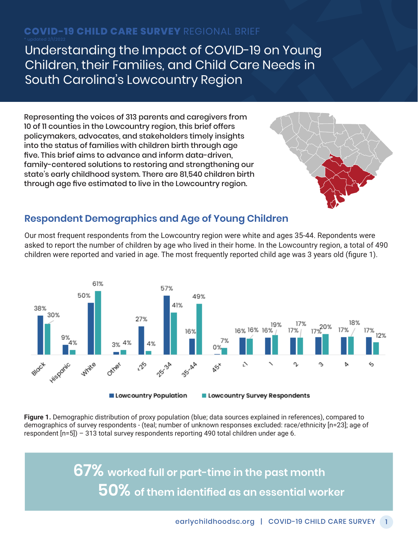# **COVID-19 CHILD CARE SURVEY** REGIONAL BRIEF

Understanding the Impact of COVID-19 on Young Children, their Families, and Child Care Needs in South Carolina's Lowcountry Region

Representing the voices of 313 parents and caregivers from 10 of 11 counties in the Lowcountry region, this brief offers policymakers, advocates, and stakeholders timely insights into the status of families with children birth through age five. This brief aims to advance and inform data-driven, family-centered solutions to restoring and strengthening our state's early childhood system. There are 81,540 children birth through age five estimated to live in the Lowcountry region.



### **Respondent Demographics and Age of Young Children**

Our most frequent respondents from the Lowcountry region were white and ages 35-44. Repondents were asked to report the number of children by age who lived in their home. In the Lowcountry region, a total of 490 children were reported and varied in age. The most frequently reported child age was 3 years old (figure 1).



**Figure 1.** Demographic distribution of proxy population (blue; data sources explained in references), compared to demographics of survey respondents - (teal; number of unknown responses excluded: race/ethnicity [n=23]; age of respondent [n=5]) – 313 total survey respondents reporting 490 total children under age 6.

> **67% worked full or part-time in the past month 50% of them identified as an essential worker**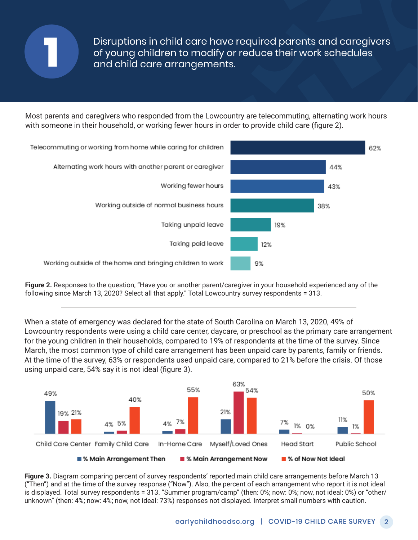

Disruptions in child care have required parents and caregivers of young children to modify or reduce their work schedules and child care arrangements.

Most parents and caregivers who responded from the Lowcountry are telecommuting, alternating work hours with someone in their household, or working fewer hours in order to provide child care (figure 2).



**Figure 2.** Responses to the question, "Have you or another parent/caregiver in your household experienced any of the following since March 13, 2020? Select all that apply." Total Lowcountry survey respondents = 313.

When a state of emergency was declared for the state of South Carolina on March 13, 2020, 49% of Lowcountry respondents were using a child care center, daycare, or preschool as the primary care arrangement for the young children in their households, compared to 19% of respondents at the time of the survey. Since March, the most common type of child care arrangement has been unpaid care by parents, family or friends. At the time of the survey, 63% or respondents used unpaid care, compared to 21% before the crisis. Of those using unpaid care, 54% say it is not ideal (figure 3).



**Figure 3.** Diagram comparing percent of survey respondents' reported main child care arrangements before March 13 ("Then") and at the time of the survey response ("Now"). Also, the percent of each arrangement who report it is not ideal is displayed. Total survey respondents = 313. "Summer program/camp" (then: 0%; now: 0%; now, not ideal: 0%) or "other/ unknown" (then: 4%; now: 4%; now, not ideal: 73%) responses not displayed. Interpret small numbers with caution.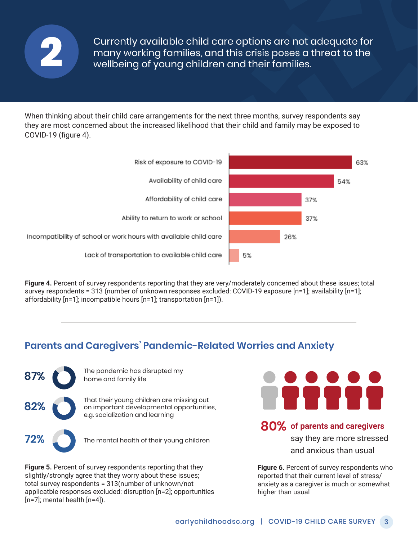

Currently available child care options are not adequate for many working families, and this crisis poses a threat to the **2** wellbeing of young children and their families.

When thinking about their child care arrangements for the next three months, survey respondents say they are most concerned about the increased likelihood that their child and family may be exposed to COVID-19 (figure 4).





### **Parents and Caregivers' Pandemic-Related Worries and Anxiety**



**Figure 5.** Percent of survey respondents reporting that they slightly/strongly agree that they worry about these issues; total survey respondents = 313(number of unknown/not applicatble responses excluded: disruption [n=2]; opportunities  $[n=7]$ ; mental health  $[n=4]$ ).



#### **80% of parents and caregivers**

say they are more stressed and anxious than usual

63%

54%

37%

37%

26%

**Figure 6.** Percent of survey respondents who reported that their current level of stress/ anxiety as a caregiver is much or somewhat higher than usual